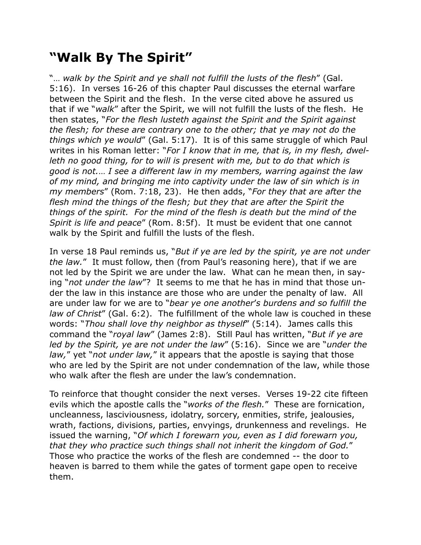## **"Walk By The Spirit"**

"… *walk by the Spirit and ye shall not fulfill the lusts of the flesh*" (Gal. 5:16). In verses 16-26 of this chapter Paul discusses the eternal warfare between the Spirit and the flesh. In the verse cited above he assured us that if we "*walk*" after the Spirit, we will not fulfill the lusts of the flesh. He then states, "*For the flesh lusteth against the Spirit and the Spirit against the flesh; for these are contrary one to the other; that ye may not do the things which ye would*" (Gal. 5:17). It is of this same struggle of which Paul writes in his Roman letter: "*For I know that in me, that is, in my flesh, dwelleth no good thing, for to will is present with me, but to do that which is good is not.*… *I see a different law in my members, warring against the law of my mind, and bringing me into captivity under the law of sin which is in my members*" (Rom. 7:18, 23). He then adds, "*For they that are after the flesh mind the things of the flesh; but they that are after the Spirit the things of the spirit. For the mind of the flesh is death but the mind of the Spirit is life and peace*" (Rom. 8:5f). It must be evident that one cannot walk by the Spirit and fulfill the lusts of the flesh.

In verse 18 Paul reminds us, "*But if ye are led by the spirit, ye are not under the law.*" It must follow, then (from Paul's reasoning here), that if we are not led by the Spirit we are under the law. What can he mean then, in saying "*not under the law*"? It seems to me that he has in mind that those under the law in this instance are those who are under the penalty of law. All are under law for we are to "*bear ye one another*'*s burdens and so fulfill the law of Christ*" (Gal. 6:2). The fulfillment of the whole law is couched in these words: "*Thou shall love thy neighbor as thyself*" (5:14). James calls this command the "*royal law*" (James 2:8). Still Paul has written, "*But if ye are led by the Spirit, ye are not under the law*" (5:16). Since we are "*under the law,*" yet "*not under law,*" it appears that the apostle is saying that those who are led by the Spirit are not under condemnation of the law, while those who walk after the flesh are under the law's condemnation.

To reinforce that thought consider the next verses. Verses 19-22 cite fifteen evils which the apostle calls the "*works of the flesh.*" These are fornication, uncleanness, lasciviousness, idolatry, sorcery, enmities, strife, jealousies, wrath, factions, divisions, parties, envyings, drunkenness and revelings. He issued the warning, "*Of which I forewarn you, even as I did forewarn you, that they who practice such things shall not inherit the kingdom of God.*" Those who practice the works of the flesh are condemned -- the door to heaven is barred to them while the gates of torment gape open to receive them.